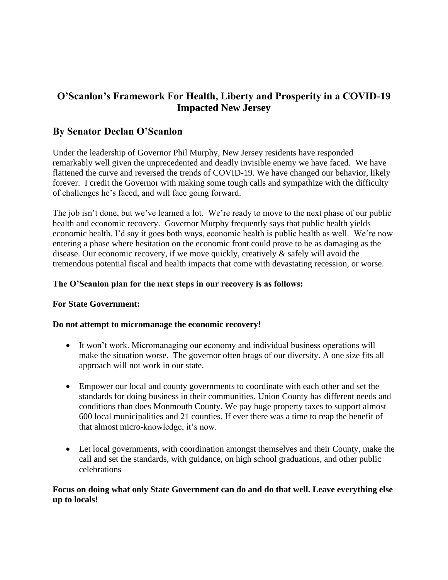# **O'Scanlon's Framework For Health, Liberty and Prosperity in a COVID-19 Impacted New Jersey**

# **By Senator Declan O'Scanlon**

Under the leadership of Governor Phil Murphy, New Jersey residents have responded remarkably well given the unprecedented and deadly invisible enemy we have faced. We have flattened the curve and reversed the trends of COVID-19. We have changed our behavior, likely forever. I credit the Governor with making some tough calls and sympathize with the difficulty of challenges he's faced, and will face going forward.

The job isn't done, but we've learned a lot. We're ready to move to the next phase of our public health and economic recovery. Governor Murphy frequently says that public health yields economic health. I'd say it goes both ways, economic health is public health as well. We're now entering a phase where hesitation on the economic front could prove to be as damaging as the disease. Our economic recovery, if we move quickly, creatively & safely will avoid the tremendous potential fiscal and health impacts that come with devastating recession, or worse.

#### **The O'Scanlon plan for the next steps in our recovery is as follows:**

#### **For State Government:**

#### **Do not attempt to micromanage the economic recovery!**

- It won't work. Micromanaging our economy and individual business operations will make the situation worse. The governor often brags of our diversity. A one size fits all approach will not work in our state.
- Empower our local and county governments to coordinate with each other and set the standards for doing business in their communities. Union County has different needs and conditions than does Monmouth County. We pay huge property taxes to support almost 600 local municipalities and 21 counties. If ever there was a time to reap the benefit of that almost micro-knowledge, it's now.
- Let local governments, with coordination amongst themselves and their County, make the call and set the standards, with guidance, on high school graduations, and other public celebrations

#### **Focus on doing what only State Government can do and do that well. Leave everything else up to locals!**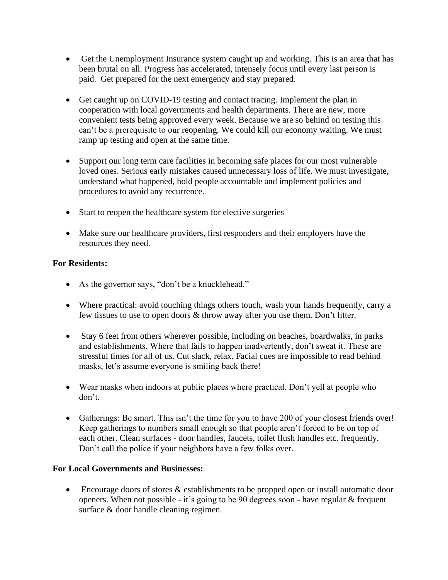- Get the Unemployment Insurance system caught up and working. This is an area that has been brutal on all. Progress has accelerated, intensely focus until every last person is paid. Get prepared for the next emergency and stay prepared.
- Get caught up on COVID-19 testing and contact tracing. Implement the plan in cooperation with local governments and health departments. There are new, more convenient tests being approved every week. Because we are so behind on testing this can't be a prerequisite to our reopening. We could kill our economy waiting. We must ramp up testing and open at the same time.
- Support our long term care facilities in becoming safe places for our most vulnerable loved ones. Serious early mistakes caused unnecessary loss of life. We must investigate, understand what happened, hold people accountable and implement policies and procedures to avoid any recurrence.
- Start to reopen the healthcare system for elective surgeries
- Make sure our healthcare providers, first responders and their employers have the resources they need.

#### **For Residents:**

- As the governor says, "don't be a knucklehead."
- Where practical: avoid touching things others touch, wash your hands frequently, carry a few tissues to use to open doors & throw away after you use them. Don't litter.
- Stay 6 feet from others wherever possible, including on beaches, boardwalks, in parks and establishments. Where that fails to happen inadvertently, don't sweat it. These are stressful times for all of us. Cut slack, relax. Facial cues are impossible to read behind masks, let's assume everyone is smiling back there!
- Wear masks when indoors at public places where practical. Don't yell at people who don't.
- Gatherings: Be smart. This isn't the time for you to have 200 of your closest friends over! Keep gatherings to numbers small enough so that people aren't forced to be on top of each other. Clean surfaces - door handles, faucets, toilet flush handles etc. frequently. Don't call the police if your neighbors have a few folks over.

#### **For Local Governments and Businesses:**

• Encourage doors of stores & establishments to be propped open or install automatic door openers. When not possible - it's going to be 90 degrees soon - have regular & frequent surface & door handle cleaning regimen.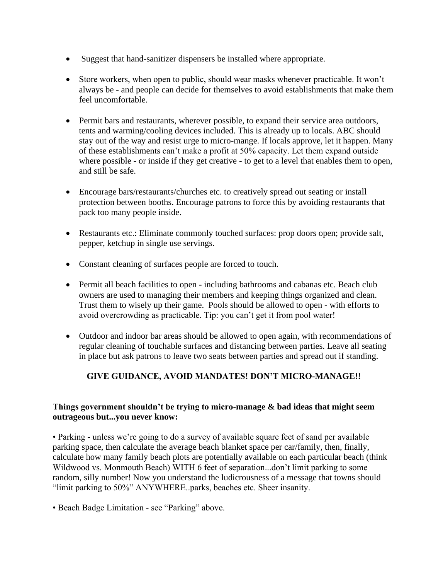- Suggest that hand-sanitizer dispensers be installed where appropriate.
- Store workers, when open to public, should wear masks whenever practicable. It won't always be - and people can decide for themselves to avoid establishments that make them feel uncomfortable.
- Permit bars and restaurants, wherever possible, to expand their service area outdoors, tents and warming/cooling devices included. This is already up to locals. ABC should stay out of the way and resist urge to micro-mange. If locals approve, let it happen. Many of these establishments can't make a profit at 50% capacity. Let them expand outside where possible - or inside if they get creative - to get to a level that enables them to open, and still be safe.
- Encourage bars/restaurants/churches etc. to creatively spread out seating or install protection between booths. Encourage patrons to force this by avoiding restaurants that pack too many people inside.
- Restaurants etc.: Eliminate commonly touched surfaces: prop doors open; provide salt, pepper, ketchup in single use servings.
- Constant cleaning of surfaces people are forced to touch.
- Permit all beach facilities to open including bathrooms and cabanas etc. Beach club owners are used to managing their members and keeping things organized and clean. Trust them to wisely up their game. Pools should be allowed to open - with efforts to avoid overcrowding as practicable. Tip: you can't get it from pool water!
- Outdoor and indoor bar areas should be allowed to open again, with recommendations of regular cleaning of touchable surfaces and distancing between parties. Leave all seating in place but ask patrons to leave two seats between parties and spread out if standing.

## **GIVE GUIDANCE, AVOID MANDATES! DON'T MICRO-MANAGE!!**

#### **Things government shouldn't be trying to micro-manage & bad ideas that might seem outrageous but...you never know:**

• Parking - unless we're going to do a survey of available square feet of sand per available parking space, then calculate the average beach blanket space per car/family, then, finally, calculate how many family beach plots are potentially available on each particular beach (think Wildwood vs. Monmouth Beach) WITH 6 feet of separation...don't limit parking to some random, silly number! Now you understand the ludicrousness of a message that towns should "limit parking to 50%" ANYWHERE..parks, beaches etc. Sheer insanity.

• Beach Badge Limitation - see "Parking" above.